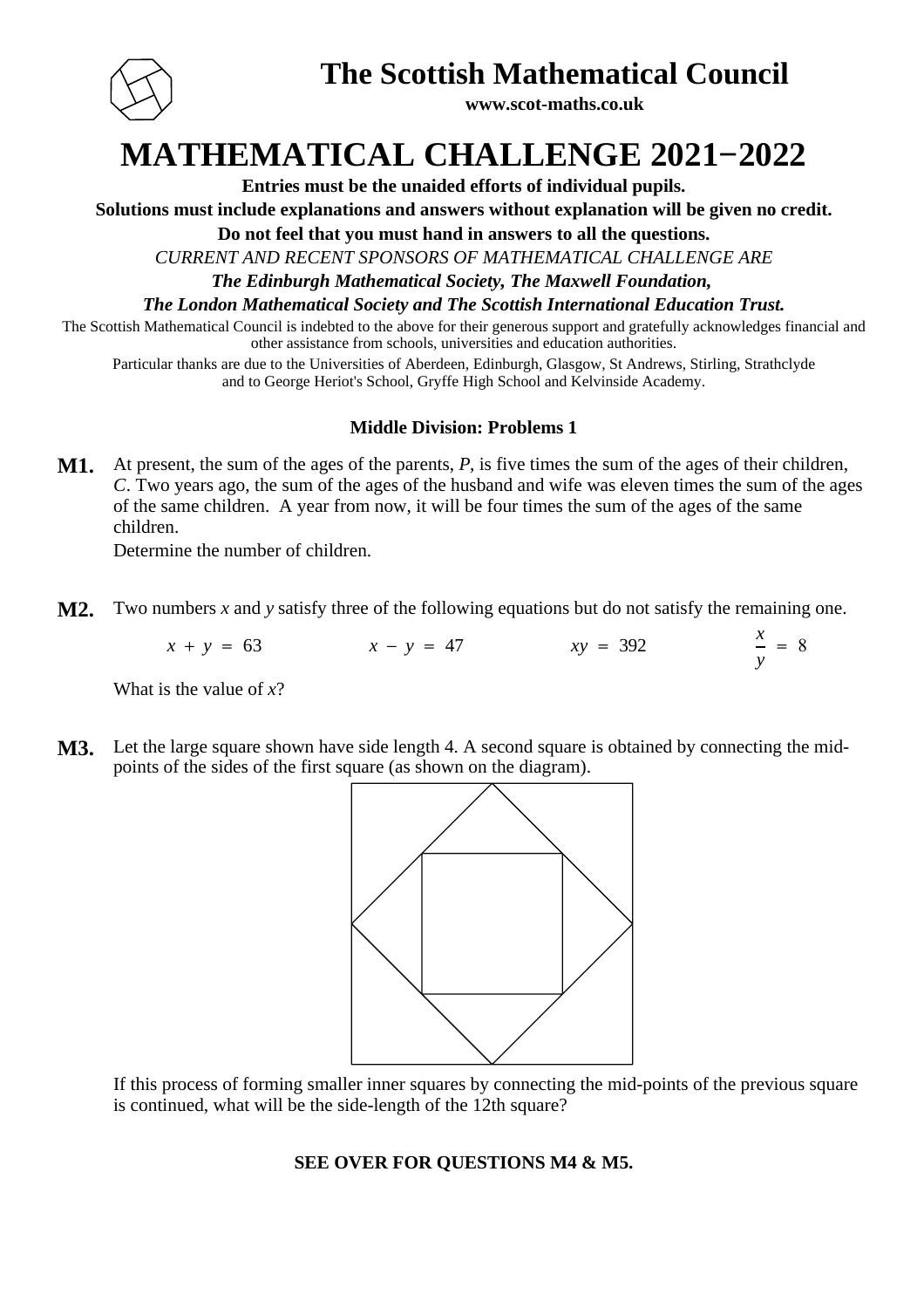

### **The Scottish Mathematical Council**

**www.scot-maths.co.uk**

## **MATHEMATICAL CHALLENGE 2021−2022**

**Entries must be the unaided efforts of individual pupils.**

**Solutions must include explanations and answers without explanation will be given no credit.**

**Do not feel that you must hand in answers to all the questions.**

*CURRENT AND RECENT SPONSORS OF MATHEMATICAL CHALLENGE ARE*

*The Edinburgh Mathematical Society, The Maxwell Foundation,* 

*The London Mathematical Society and The Scottish International Education Trust.*

The Scottish Mathematical Council is indebted to the above for their generous support and gratefully acknowledges financial and other assistance from schools, universities and education authorities.

Particular thanks are due to the Universities of Aberdeen, Edinburgh, Glasgow, St Andrews, Stirling, Strathclyde and to George Heriot's School, Gryffe High School and Kelvinside Academy.

### **Middle Division: Problems 1**

**M1.** At present, the sum of the ages of the parents, P, is five times the sum of the ages of their children, . Two years ago, the sum of the ages of the husband and wife was eleven times the sum of the ages *C* of the same children. A year from now, it will be four times the sum of the ages of the same children.

Determine the number of children.

**M2.** Two numbers *x* and *y* satisfy three of the following equations but do not satisfy the remaining one.

 $x + y = 63$  *x* − *y* = 47 *xy* = 392 *y*  $= 8$ 

What is the value of *x*?

**M3.** Let the large square shown have side length 4. A second square is obtained by connecting the midpoints of the sides of the first square (as shown on the diagram).



If this process of forming smaller inner squares by connecting the mid-points of the previous square is continued, what will be the side-length of the 12th square?

### **SEE OVER FOR QUESTIONS M4 & M5.**